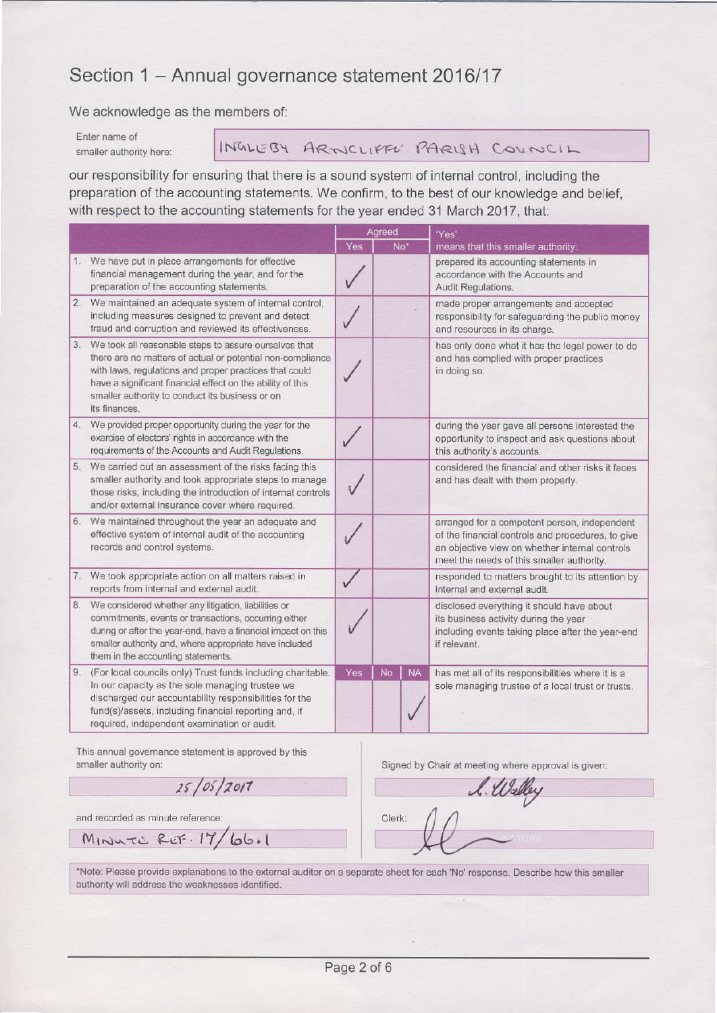# Section 1 - Annual governance statement 2016/17

We acknowledge as the members of:

Enter name of smaller authority here:

INGLEBY ARNICLIFFE PARISH COUNCIL

our responsibility for ensuring that there is a sound system of internal control, including the preparation of the accounting statements. We confirm, to the best of our knowledge and belief, with respect to the accounting statements for the year ended 31 March 2017, that:

|    |                                                                                                                                                                                                                                                                                                                 | Agreed |                 |           | 'Yes'                                                                                                                                                                                            |
|----|-----------------------------------------------------------------------------------------------------------------------------------------------------------------------------------------------------------------------------------------------------------------------------------------------------------------|--------|-----------------|-----------|--------------------------------------------------------------------------------------------------------------------------------------------------------------------------------------------------|
|    |                                                                                                                                                                                                                                                                                                                 | Yes    | No <sup>-</sup> |           | means that this smaller authority:                                                                                                                                                               |
|    | 1. We have put in place arrangements for effective<br>financial management during the year, and for the<br>preparation of the accounting statements.                                                                                                                                                            |        |                 |           | prepared its accounting statements in<br>accordance with the Accounts and<br>Audit Regulations.                                                                                                  |
| 2. | We maintained an adequate system of internal control,<br>including measures designed to prevent and detect<br>fraud and corruption and reviewed its effectiveness.                                                                                                                                              |        |                 |           | made proper arrangements and accepted<br>responsibility for safeguarding the public money<br>and resources in its charge.                                                                        |
| 3. | We took all reasonable steps to assure ourselves that<br>there are no matters of actual or potential non-compliance<br>with laws, regulations and proper practices that could<br>have a significant financial effect on the ability of this<br>smaller authority to conduct its business or on<br>its finances. |        |                 |           | has only done what it has the legal power to do<br>and has complied with proper practices<br>in doing so.                                                                                        |
|    | 4. We provided proper opportunity during the year for the<br>exercise of electors' rights in accordance with the<br>requirements of the Accounts and Audit Regulations.                                                                                                                                         |        |                 |           | during the year gave all persons interested the<br>opportunity to inspect and ask questions about<br>this authority's accounts.                                                                  |
|    | 5. We carried out an assessment of the risks facing this<br>smaller authority and took appropriate steps to manage<br>those risks, including the introduction of internal controls<br>and/or external insurance cover where required.                                                                           |        |                 |           | considered the financial and other risks it faces<br>and has dealt with them properly.                                                                                                           |
|    | 6. We maintained throughout the year an adequate and<br>effective system of internal audit of the accounting<br>records and control systems.                                                                                                                                                                    |        |                 |           | arranged for a competent person, independent<br>of the financial controls and procedures, to give<br>an objective view on whether internal controls<br>meet the needs of this smaller authority. |
|    | 7. We took appropriate action on all matters raised in<br>reports from internal and external audit.                                                                                                                                                                                                             |        |                 |           | responded to matters brought to its attention by<br>internal and external audit.                                                                                                                 |
| 8. | We considered whether any litigation, liabilities or<br>commitments, events or transactions, occurring either<br>during or after the year-end, have a financial impact on this<br>smaller authority and, where appropriate have included<br>them in the accounting statements.                                  |        |                 |           | disclosed everything it should have about<br>its business activity during the year<br>including events taking place after the year-end<br>if relevant.                                           |
|    | 9. (For local councils only) Trust funds including charitable.<br>In our capacity as the sole managing trustee we<br>discharged our accountability responsibilities for the<br>fund(s)/assets, including financial reporting and, if<br>required, independent examination or audit.                             | Yes    | <b>No</b>       | <b>NA</b> | has met all of its responsibilities where it is a<br>sole managing trustee of a local trust or trusts.                                                                                           |

This annual governance statement is approved by this smaller authority on:

 $25/05/2017$ 

Signed by Chair at meeting where approval is given:

Walley Clerk:

and recorded as minute reference:

MINUTE RET. 17/66.1

\*Note: Please provide explanations to the external auditor on a separate sheet for each 'No' response. Describe how this smaller authority will address the weaknesses identified.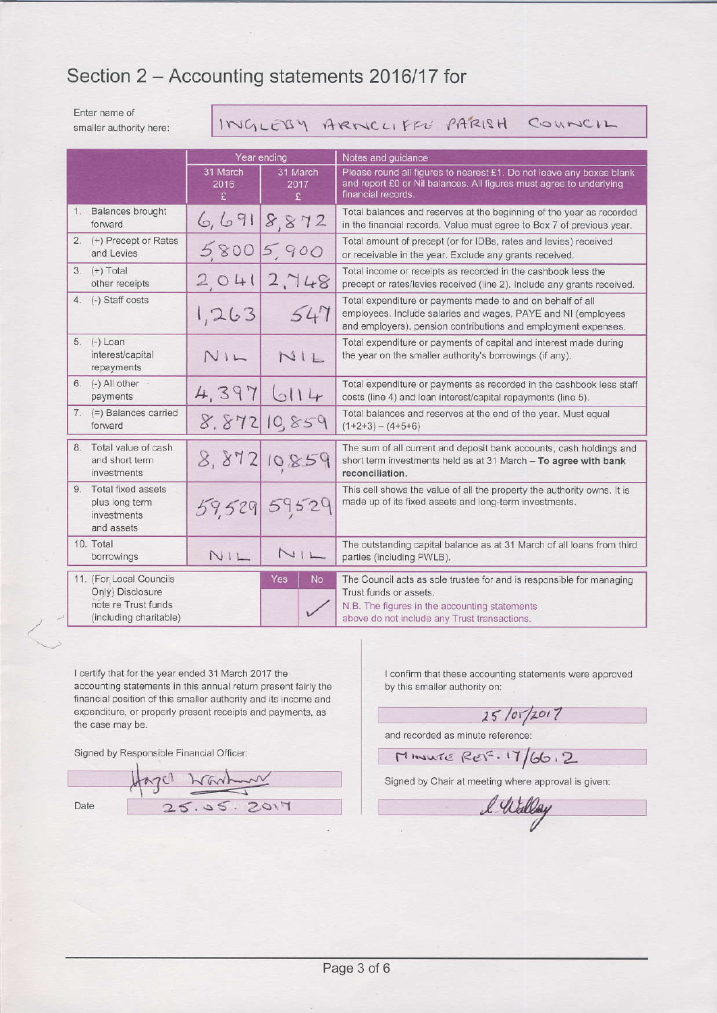# Section 2 - Accounting statements 2016/17 for

Enter name of smaller authority here:

INGLESY ARNICLIFFE PARISH COUNCIL

|                                                                                              | Year ending           |                       | Notes and guidance                                                                                                                                                                              |  |  |  |  |  |
|----------------------------------------------------------------------------------------------|-----------------------|-----------------------|-------------------------------------------------------------------------------------------------------------------------------------------------------------------------------------------------|--|--|--|--|--|
|                                                                                              | 31 March<br>2016<br>£ | 31 March<br>2017<br>£ | Please round all figures to nearest £1. Do not leave any boxes blank<br>and report £0 or Nil balances. All figures must agree to underlying<br>financial records.                               |  |  |  |  |  |
| 1. Balances brought<br>forward                                                               | 6,691                 | 8,872                 | Total balances and reserves at the beginning of the year as recorded<br>in the financial records. Value must agree to Box 7 of previous year.                                                   |  |  |  |  |  |
| 2. (+) Precept or Rates<br>and Levies                                                        |                       | 58005,900             | Total amount of precept (or for IDBs, rates and levies) received<br>or receivable in the year. Exclude any grants received.                                                                     |  |  |  |  |  |
| $3. (+) Total$<br>other receipts                                                             | 2041                  | 2,748                 | Total income or receipts as recorded in the cashbook less the<br>precept or rates/levies received (line 2). Include any grants received.                                                        |  |  |  |  |  |
| 4. (-) Staff costs                                                                           | 1,263                 | 547                   | Total expenditure or payments made to and on behalf of all<br>employees. Include salaries and wages, PAYE and NI (employees<br>and employers), pension contributions and employment expenses.   |  |  |  |  |  |
| 5. (-) Loan<br>interest/capital<br>repayments                                                | NIL                   | NIL                   | Total expenditure or payments of capital and interest made during<br>the year on the smaller authority's borrowings (if any).                                                                   |  |  |  |  |  |
| 6. $(-)$ All other $\cdot$<br>payments                                                       | 4,397                 | 6114                  | Total expenditure or payments as recorded in the cashbook less staff<br>costs (line 4) and loan interest/capital repayments (line 5).                                                           |  |  |  |  |  |
| 7. (=) Balances carried<br>forward                                                           | 8.872                 | 10,859                | Total balances and reserves at the end of the year. Must equal<br>$(1+2+3) - (4+5+6)$                                                                                                           |  |  |  |  |  |
| 8. Total value of cash<br>and short term<br>investments                                      | 8,872                 | 10859                 | The sum of all current and deposit bank accounts, cash holdings and<br>short term investments held as at 31 March - To agree with bank<br>reconciliation.                                       |  |  |  |  |  |
| 9. Total fixed assets<br>plus long term<br>investments<br>and assets                         |                       | 59,529 59529          | This cell shows the value of all the property the authority owns. It is<br>made up of its fixed assets and long-term investments.                                                               |  |  |  |  |  |
| 10. Total<br>borrowings                                                                      | NIL                   | 111                   | The outstanding capital balance as at 31 March of all loans from third<br>parties (including PWLB).                                                                                             |  |  |  |  |  |
| 11. (For Local Councils<br>Only) Disclosure<br>note re Trust funds<br>(including charitable) |                       | Yes<br><b>No</b>      | The Council acts as sole trustee for and is responsible for managing<br>Trust funds or assets.<br>N.B. The figures in the accounting statements<br>above do not include any Trust transactions. |  |  |  |  |  |

I certify that for the year ended 31 March 2017 the accounting statements in this annual return present fairly the financial position of this smaller authority and its income and expenditure, or properly present receipts and payments, as the case may be.

Signed by Responsible Financial Officer:

Hazer Nanhan 25.05.2017 Date

I confirm that these accounting statements were approved by this smaller authority on:

 $25/07/2017$ 

and recorded as minute reference:

 $M$ *INVITE* REF. 17/66.2

Signed by Chair at meeting where approval is given:

l. Willey